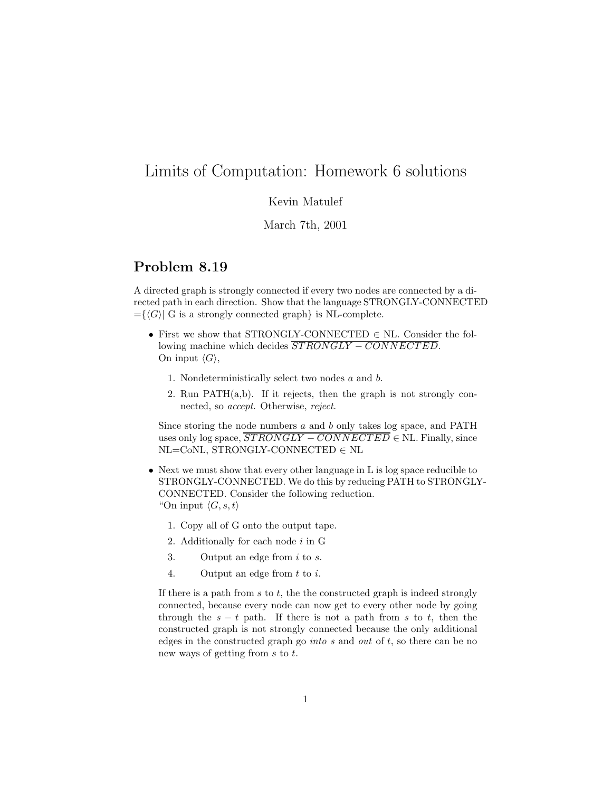# Limits of Computation: Homework 6 solutions

#### Kevin Matulef

#### March 7th, 2001

### **Problem 8.19**

A directed graph is strongly connected if every two nodes are connected by a directed path in each direction. Show that the language STRONGLY-CONNECTED  $=\{\langle G\rangle | G$  is a strongly connected graph} is NL-complete.

- First we show that STRONGLY-CONNECTED  $\in$  NL. Consider the following machine which decides  $\overline{STRONGLY - CONNECTED}$ . On input  $\langle G \rangle$ ,
	- 1. Nondeterministically select two nodes  $a$  and  $b$ .
	- 2. Run PATH(a,b). If it rejects, then the graph is not strongly connected, so accept. Otherwise, reject.

Since storing the node numbers a and b only takes log space, and PATH uses only log space,  $\overline{STRONGLY - CONNECTED} \in \text{NL}$ . Finally, since NL=CoNL, STRONGLY-CONNECTED ∈ NL

- Next we must show that every other language in L is log space reducible to STRONGLY-CONNECTED. We do this by reducing PATH to STRONGLY-CONNECTED. Consider the following reduction. "On input  $\langle G, s, t \rangle$ 
	- 1. Copy all of G onto the output tape.
	- 2. Additionally for each node  $i$  in  $G$
	- 3. Output an edge from  $i$  to  $s$ .
	- 4. Output an edge from  $t$  to  $i$ .

If there is a path from  $s$  to  $t$ , the the constructed graph is indeed strongly connected, because every node can now get to every other node by going through the  $s - t$  path. If there is not a path from s to t, then the constructed graph is not strongly connected because the only additional edges in the constructed graph go *into s* and *out* of t, so there can be no new ways of getting from s to t.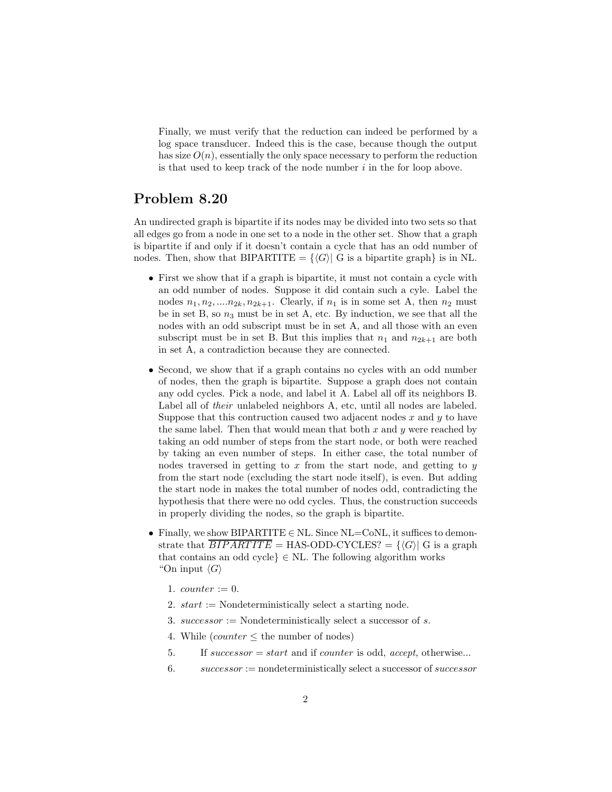Finally, we must verify that the reduction can indeed be performed by a log space transducer. Indeed this is the case, because though the output has size  $O(n)$ , essentially the only space necessary to perform the reduction is that used to keep track of the node number  $i$  in the for loop above.

## **Problem 8.20**

An undirected graph is bipartite if its nodes may be divided into two sets so that all edges go from a node in one set to a node in the other set. Show that a graph is bipartite if and only if it doesn't contain a cycle that has an odd number of nodes. Then, show that BIPARTITE =  $\{\langle G \rangle | G$  is a bipartite graph} is in NL.

- First we show that if a graph is bipartite, it must not contain a cycle with an odd number of nodes. Suppose it did contain such a cyle. Label the nodes  $n_1, n_2, \ldots n_{2k}, n_{2k+1}$ . Clearly, if  $n_1$  is in some set A, then  $n_2$  must be in set B, so  $n_3$  must be in set A, etc. By induction, we see that all the nodes with an odd subscript must be in set A, and all those with an even subscript must be in set B. But this implies that  $n_1$  and  $n_{2k+1}$  are both in set A, a contradiction because they are connected.
- Second, we show that if a graph contains no cycles with an odd number of nodes, then the graph is bipartite. Suppose a graph does not contain any odd cycles. Pick a node, and label it A. Label all off its neighbors B. Label all of their unlabeled neighbors A, etc, until all nodes are labeled. Suppose that this contruction caused two adjacent nodes  $x$  and  $y$  to have the same label. Then that would mean that both  $x$  and  $y$  were reached by taking an odd number of steps from the start node, or both were reached by taking an even number of steps. In either case, the total number of nodes traversed in getting to  $x$  from the start node, and getting to  $y$ from the start node (excluding the start node itself), is even. But adding the start node in makes the total number of nodes odd, contradicting the hypothesis that there were no odd cycles. Thus, the construction succeeds in properly dividing the nodes, so the graph is bipartite.
- Finally, we show BIPARTITE  $\in$  NL. Since NL=CoNL, it suffices to demonstrate that  $\overline{BIPARTITE}$  = HAS-ODD-CYCLES? =  $\{\langle G \rangle | G$  is a graph that contains an odd cycle $\in$  NL. The following algorithm works "On input  $\langle G \rangle$ 
	- 1. *counter* := 0.
	- 2.  $start :=$  Nondeterministically select a starting node.
	- 3. successor := Nondeterministically select a successor of s.
	- 4. While  $\text{(counter} < \text{the number of nodes)}$
	- 5. If successor  $= start$  and if counter is odd, accept, otherwise...
	- 6.  $successor := nondeterministically select a successor of successor$